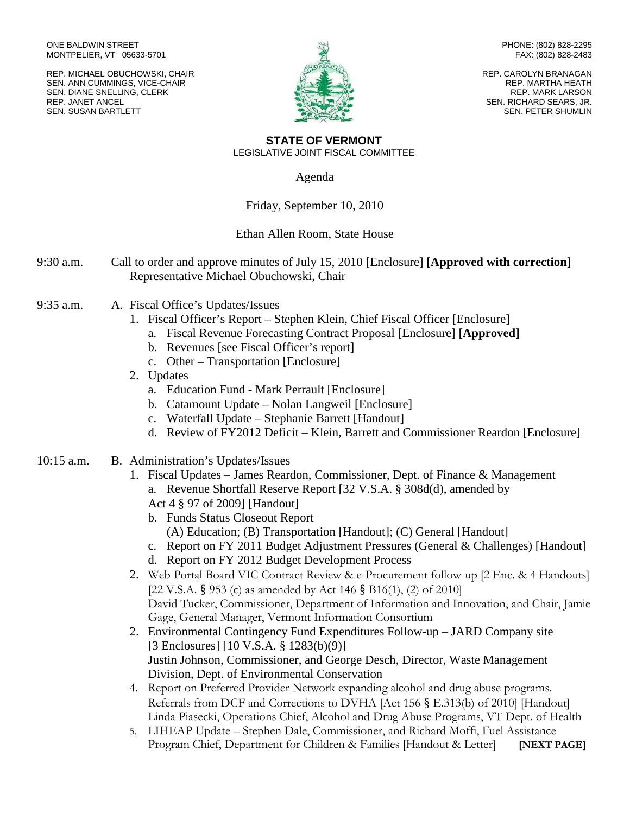ONE BALDWIN STREET MONTPELIER, VT 05633-5701

REP. MICHAEL OBUCHOWSKI, CHAIR SEN. ANN CUMMINGS, VICE-CHAIR SEN. DIANE SNELLING, CLERK REP. JANET ANCEL SEN. SUSAN BARTLETT



PHONE: (802) 828-2295 FAX: (802) 828-2483

REP. CAROLYN BRANAGAN REP. MARTHA HEATH REP. MARK LARSON SEN. RICHARD SEARS, JR. SEN. PETER SHUMLIN

**STATE OF VERMONT** LEGISLATIVE JOINT FISCAL COMMITTEE

Agenda

## Friday, September 10, 2010

## Ethan Allen Room, State House

- 9:30 a.m. Call to order and approve minutes of July 15, 2010 [Enclosure] **[Approved with correction]** Representative Michael Obuchowski, Chair
- 9:35 a.m. A. Fiscal Office's Updates/Issues
	- 1. Fiscal Officer's Report Stephen Klein, Chief Fiscal Officer [Enclosure]
		- a. Fiscal Revenue Forecasting Contract Proposal [Enclosure] **[Approved]**
		- b. Revenues [see Fiscal Officer's report]
		- c. Other Transportation [Enclosure]
	- 2. Updates
		- a. Education Fund Mark Perrault [Enclosure]
		- b. Catamount Update Nolan Langweil [Enclosure]
		- c. Waterfall Update Stephanie Barrett [Handout]
		- d. Review of FY2012 Deficit Klein, Barrett and Commissioner Reardon [Enclosure]
- 10:15 a.m. B. Administration's Updates/Issues
	- 1. Fiscal Updates *–* James Reardon, Commissioner, Dept. of Finance & Management a. Revenue Shortfall Reserve Report [32 V.S.A. § 308d(d), amended by Act 4 § 97 of 2009] [Handout]
		- b. Funds Status Closeout Report (A) Education; (B) Transportation [Handout]; (C) General [Handout]
		- c. Report on FY 2011 Budget Adjustment Pressures (General & Challenges) [Handout]
		- d. Report on FY 2012 Budget Development Process
	- 2. Web Portal Board VIC Contract Review & e-Procurement follow-up [2 Enc. & 4 Handouts] [22 V.S.A. § 953 (c) as amended by Act 146 § B16(1), (2) of 2010] David Tucker, Commissioner, Department of Information and Innovation, and Chair, Jamie Gage, General Manager, Vermont Information Consortium
	- 2. Environmental Contingency Fund Expenditures Follow-up JARD Company site [3 Enclosures] [10 V.S.A. § 1283(b)(9)] Justin Johnson, Commissioner, and George Desch, Director, Waste Management Division, Dept. of Environmental Conservation
	- 4. Report on Preferred Provider Network expanding alcohol and drug abuse programs. Referrals from DCF and Corrections to DVHA [Act 156 § E.313(b) of 2010] [Handout] Linda Piasecki, Operations Chief, Alcohol and Drug Abuse Programs, VT Dept. of Health
	- 5. LIHEAP Update Stephen Dale, Commissioner, and Richard Moffi, Fuel Assistance Program Chief, Department for Children & Families [Handout & Letter] **[NEXT PAGE]**